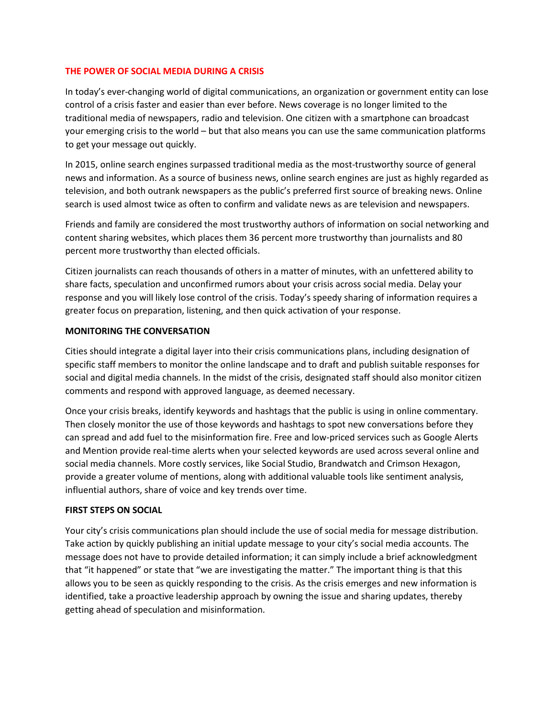## **THE POWER OF SOCIAL MEDIA DURING A CRISIS**

In today's ever-changing world of digital communications, an organization or government entity can lose control of a crisis faster and easier than ever before. News coverage is no longer limited to the traditional media of newspapers, radio and television. One citizen with a smartphone can broadcast your emerging crisis to the world – but that also means you can use the same communication platforms to get your message out quickly.

In 2015, online search engines surpassed traditional media as the most-trustworthy source of general news and information. As a source of business news, online search engines are just as highly regarded as television, and both outrank newspapers as the public's preferred first source of breaking news. Online search is used almost twice as often to confirm and validate news as are television and newspapers.

Friends and family are considered the most trustworthy authors of information on social networking and content sharing websites, which places them 36 percent more trustworthy than journalists and 80 percent more trustworthy than elected officials.

Citizen journalists can reach thousands of others in a matter of minutes, with an unfettered ability to share facts, speculation and unconfirmed rumors about your crisis across social media. Delay your response and you will likely lose control of the crisis. Today's speedy sharing of information requires a greater focus on preparation, listening, and then quick activation of your response.

## **MONITORING THE CONVERSATION**

Cities should integrate a digital layer into their crisis communications plans, including designation of specific staff members to monitor the online landscape and to draft and publish suitable responses for social and digital media channels. In the midst of the crisis, designated staff should also monitor citizen comments and respond with approved language, as deemed necessary.

Once your crisis breaks, identify keywords and hashtags that the public is using in online commentary. Then closely monitor the use of those keywords and hashtags to spot new conversations before they can spread and add fuel to the misinformation fire. Free and low-priced services such as Google Alerts and Mention provide real-time alerts when your selected keywords are used across several online and social media channels. More costly services, like Social Studio, Brandwatch and Crimson Hexagon, provide a greater volume of mentions, along with additional valuable tools like sentiment analysis, influential authors, share of voice and key trends over time.

## **FIRST STEPS ON SOCIAL**

Your city's crisis communications plan should include the use of social media for message distribution. Take action by quickly publishing an initial update message to your city's social media accounts. The message does not have to provide detailed information; it can simply include a brief acknowledgment that "it happened" or state that "we are investigating the matter." The important thing is that this allows you to be seen as quickly responding to the crisis. As the crisis emerges and new information is identified, take a proactive leadership approach by owning the issue and sharing updates, thereby getting ahead of speculation and misinformation.